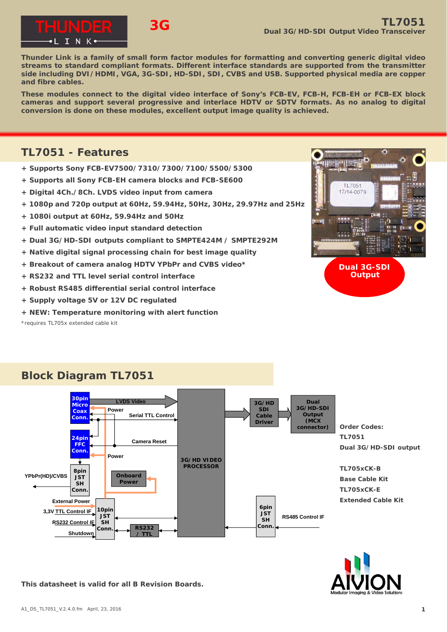

**Thunder Link is a family of small form factor modules for formatting and converting generic digital video streams to standard compliant formats. Different interface standards are supported from the transmitter side including DVI/HDMI, VGA, 3G-SDI, HD-SDI, SDI, CVBS and USB. Supported physical media are copper and fibre cables.**

**These modules connect to the digital video interface of Sony's FCB-EV, FCB-H, FCB-EH or FCB-EX block cameras and support several progressive and interlace HDTV or SDTV formats. As no analog to digital conversion is done on these modules, excellent output image quality is achieved.**

## **TL7051 - Features**

- **+ Supports Sony FCB-EV7500/7310/7300/7100/5500/5300**
- **+ Supports all Sony FCB-EH camera blocks and FCB-SE600**
- **+ Digital 4Ch./8Ch. LVDS video input from camera**
- **+ 1080p and 720p output at 60Hz, 59.94Hz, 50Hz, 30Hz, 29.97Hz and 25Hz**
- **+ 1080i output at 60Hz, 59.94Hz and 50Hz**
- **+ Full automatic video input standard detection**
- **+ Dual 3G/HD-SDI outputs compliant to SMPTE424M / SMPTE292M**
- **+ Native digital signal processing chain for best image quality**
- **+ Breakout of camera analog HDTV YPbPr and CVBS video\***
- **+ RS232 and TTL level serial control interface**
- **+ Robust RS485 differential serial control interface**
- **+ Supply voltage 5V or 12V DC regulated**
- **+** *NEW:* **Temperature monitoring with alert function**

\*requires TL705x extended cable kit



**Dual 3G-SDI Output**

# **Block Diagram TL7051**





**This datasheet is valid for all B Revision Boards.**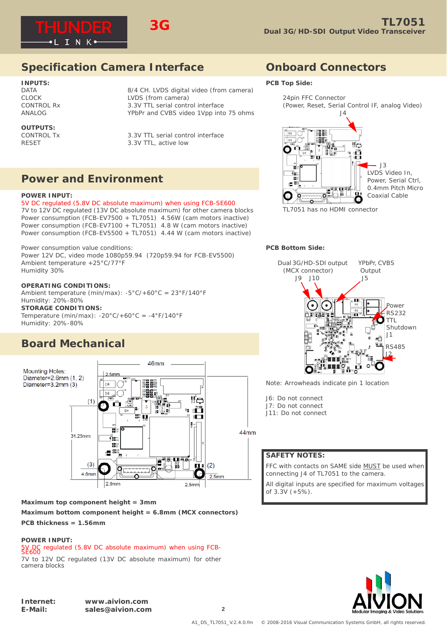



# **Specification Camera Interface**

## **INPUTS:** DATA 2012 2014 2014 B/4 CH. LVDS digital video (from camera) CLOCK LVDS (from camera)

CONTROL Rx 3.3V TTL serial control interface

# **OUTPUTS:**<br>CONTROL Tx

ANALOG YPbPr and CVBS video 1Vpp into 75 ohms

3.3V TTL serial control interface RESET 3.3V TTL, active low

# **Power and Environment**

## **POWER INPUT:**

5V DC regulated (5.8V DC absolute maximum) when using FCB-SE600 7V to 12V DC regulated (13V DC absolute maximum) for other camera blocks Power consumption (FCB-EV7500 + TL7051) 4.56W (cam motors inactive) Power consumption (FCB-EV7100 + TL7051) 4.8 W (cam motors inactive) Power consumption (FCB-EV5500 + TL7051) 4.44 W (cam motors inactive)

Power consumption value conditions: Power 12V DC, video mode 1080p59.94 (720p59.94 for FCB-EV5500) Ambient temperature +25°C/77°F Humidity 30%

## **OPERATING CONDITIONS:**

Ambient temperature (min/max): -5°C/+60°C = 23°F/140°F Humidity: 20%-80% **STORAGE CONDITIONS:**

Temperature (min/max):  $-20^{\circ}C/+60^{\circ}C = -4^{\circ}F/140^{\circ}F$ Humidity: 20%-80%

# **Board Mechanical**



## **Maximum top component height = 3mm**

**Maximum bottom component height = 6.8mm (MCX connectors)**

## **PCB thickness = 1.56mm**

## **POWER INPUT:**

5V DC regulated (5.8V DC absolute maximum) when using FCB-SE600

7V to 12V DC regulated (13V DC absolute maximum) for other camera blocks

## **Onboard Connectors**

#### **PCB Top Side:**



TL7051 has no HDMI connector

## **PCB Bottom Side:**



Note: Arrowheads indicate pin 1 location

J6: Do not connect J7: Do not connect J11: Do not connect

## **SAFETY NOTES:**

FFC with contacts on SAME side MUST be used when connecting J4 of TL7051 to the camera.

All digital inputs are specified for maximum voltages of 3.3V (+5%).

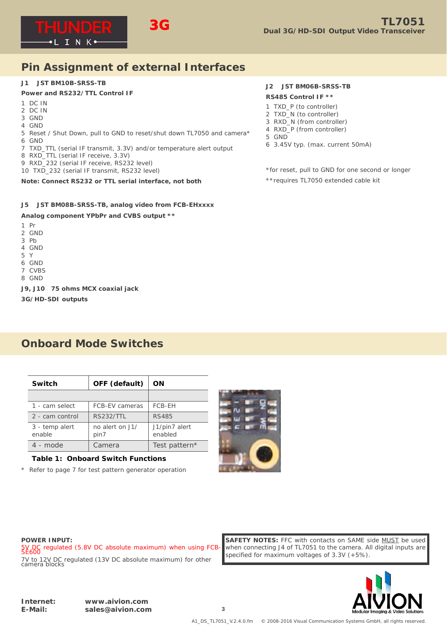

# **Pin Assignment of external Interfaces**

#### **J1 JST BM10B-SRSS-TB**

## **Power and RS232/TTL Control IF**

- 1 DC IN
- 2 DC IN
- 3 GND
- 4 GND
- 5 Reset / Shut Down, pull to GND to reset/shut down TL7050 and camera\* 6 GND
- 7 TXD\_TTL (serial IF transmit, 3.3V) and/or temperature alert output
- 8 RXD\_TTL (serial IF receive, 3.3V)
- 9 RXD\_232 (serial IF receive, RS232 level)
- 10 TXD\_232 (serial IF transmit, RS232 level)

## **Note: Connect RS232 or TTL serial interface, not both**

## **J5 JST BM08B-SRSS-TB, analog video from FCB-EHxxxx**

## **Analog component YPbPr and CVBS output \*\***

- 1 Pr
- 2 GND
- 3 Pb
- 4 GND
- 5 Y
- 6 GND
- 7 CVBS
- 8 GND

**J9, J10 75 ohms MCX coaxial jack**

**3G/HD-SDI outputs**

# **Onboard Mode Switches**

| Switch                   | OFF (default)           | ON                       |
|--------------------------|-------------------------|--------------------------|
|                          |                         |                          |
| 1 - cam select           | <b>FCB-EV cameras</b>   | FCB-EH                   |
| 2 - cam control          | <b>RS232/TTL</b>        | <b>RS485</b>             |
| 3 - temp alert<br>enable | no alert on J1/<br>pin7 | J1/pin7 alert<br>enabled |
| 4 - mode                 | Camera                  | Test pattern*            |

## **Table 1: Onboard Switch Functions**

Refer to page 7 for test pattern generator operation



## **J2 JST BM06B-SRSS-TB**

#### **RS485 Control IF \*\***

- 1 TXD\_P (to controller)
- 2 TXD\_N (to controller)
- 3 RXD\_N (from controller)
- 4 RXD\_P (from controller)
- 5 GND
- 6 3.45V typ. (max. current 50mA)

\*for reset, pull to GND for one second or longer

\*\*requires TL7050 extended cable kit

## **POWER INPUT:**

5V DC regulated (5.8V DC absolute maximum) when using FCB-SE600 7V to 12V DC regulated (13V DC absolute maximum) for other camera blocks

**SAFETY NOTES:** FFC with contacts on SAME side MUST be used when connecting J4 of TL7051 to the camera. All digital inputs are specified for maximum voltages of 3.3V (+5%).

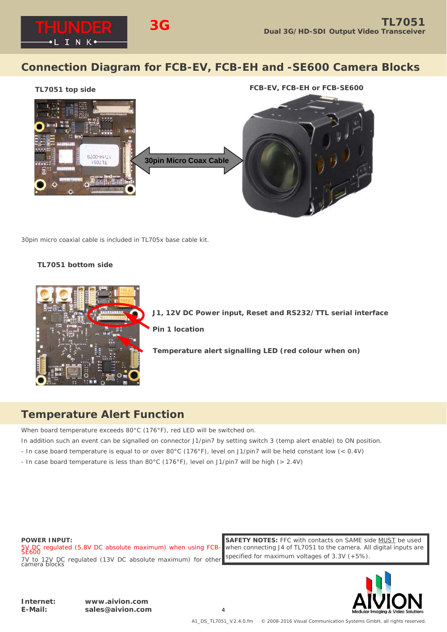

# **Connection Diagram for FCB-EV, FCB-EH and -SE600 Camera Blocks**

## **TL7051 top side FCB-EV, FCB-EH or FCB-SE600**



30pin micro coaxial cable is included in TL705x base cable kit.

## **TL7051 bottom side**



**J1, 12V DC Power input, Reset and RS232/TTL serial interface**

**Pin 1 location**

**Temperature alert signalling LED (red colour when on)** 

## **Temperature Alert Function**

When board temperature exceeds 80°C (176°F), red LED will be switched on.

- In addition such an event can be signalled on connector J1/pin7 by setting switch 3 (temp alert enable) to ON position.
- In case board temperature is equal to or over 80°C (176°F), level on J1/pin7 will be held constant low (< 0.4V)
- In case board temperature is less than 80°C (176°F), level on J1/pin7 will be high (> 2.4V)

**POWER INPUT:**

5V DC regulated (5.8V DC absolute maximum) when using FCB-SE600 7V to 12V DC regulated (13V DC absolute maximum) for other camera blocks

**SAFETY NOTES:** FFC with contacts on SAME side MUST be used when connecting J4 of TL7051 to the camera. All digital inputs are specified for maximum voltages of 3.3V (+5%).

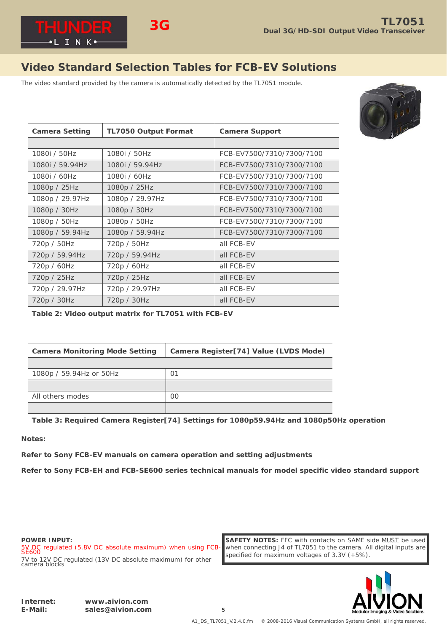

# **Video Standard Selection Tables for FCB-EV Solutions**

The video standard provided by the camera is automatically detected by the TL7051 module.



| <b>Camera Setting</b> | <b>TL7050 Output Format</b> | <b>Camera Support</b>     |  |
|-----------------------|-----------------------------|---------------------------|--|
|                       |                             |                           |  |
| 1080i / 50Hz          | 1080i / 50Hz                | FCB-EV7500/7310/7300/7100 |  |
| 1080i / 59.94Hz       | 1080i / 59.94Hz             | FCB-EV7500/7310/7300/7100 |  |
| 1080i / 60Hz          | 1080i / 60Hz                | FCB-EV7500/7310/7300/7100 |  |
| 1080p / 25Hz          | 1080p / 25Hz                | FCB-EV7500/7310/7300/7100 |  |
| 1080p / 29.97Hz       | 1080p / 29.97Hz             | FCB-EV7500/7310/7300/7100 |  |
| 1080p / 30Hz          | 1080p / 30Hz                | FCB-EV7500/7310/7300/7100 |  |
| 1080p / 50Hz          | 1080p / 50Hz                | FCB-EV7500/7310/7300/7100 |  |
| 1080p / 59.94Hz       | 1080p / 59.94Hz             | FCB-EV7500/7310/7300/7100 |  |
| 720p / 50Hz           | 720p / 50Hz                 | all FCB-EV                |  |
| 720p / 59.94Hz        | 720p / 59.94Hz              | all FCB-EV                |  |
| 720p / 60Hz           | 720p / 60Hz                 | all FCB-EV                |  |
| 720p / 25Hz           | 720p / 25Hz                 | all FCB-EV                |  |
| 720p / 29.97Hz        | 720p / 29.97Hz              | all FCB-EV                |  |
| 720p / 30Hz           | 720p / 30Hz                 | all FCB-EV                |  |

**Table 2: Video output matrix for TL7051 with FCB-EV**

| <b>Camera Monitoring Mode Setting</b> | Camera Register[74] Value (LVDS Mode) |  |
|---------------------------------------|---------------------------------------|--|
|                                       |                                       |  |
| 1080p / 59.94Hz or 50Hz               | 01                                    |  |
|                                       |                                       |  |
| All others modes                      | OO                                    |  |
|                                       |                                       |  |

**Table 3: Required Camera Register[74] Settings for 1080p59.94Hz and 1080p50Hz operation**

**Notes:** 

**Refer to Sony FCB-EV manuals on camera operation and setting adjustments**

**Refer to Sony FCB-EH and FCB-SE600 series technical manuals for model specific video standard support**

**POWER INPUT:**

5V DC regulated (5.8V DC absolute maximum) when using FCB-SE600 7V to 12V DC regulated (13V DC absolute maximum) for other camera blocks

**SAFETY NOTES:** FFC with contacts on SAME side MUST be used when connecting J4 of TL7051 to the camera. All digital inputs are specified for maximum voltages of 3.3V (+5%).

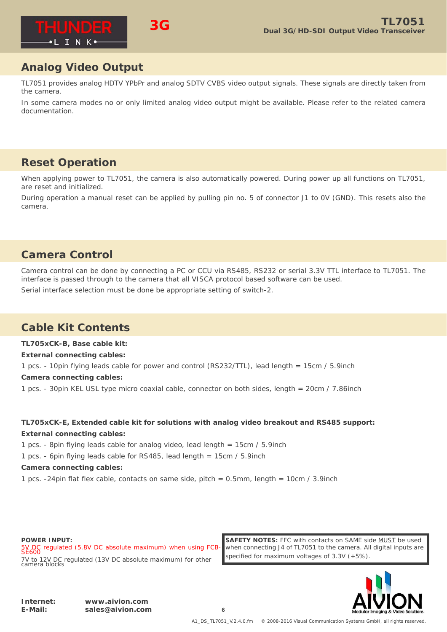

# **Analog Video Output**

TL7051 provides analog HDTV YPbPr and analog SDTV CVBS video output signals. These signals are directly taken from the camera.

In some camera modes no or only limited analog video output might be available. Please refer to the related camera documentation.

# **Reset Operation**

When applying power to TL7051, the camera is also automatically powered. During power up all functions on TL7051, are reset and initialized.

During operation a manual reset can be applied by pulling pin no. 5 of connector J1 to 0V (GND). This resets also the camera.

# **Camera Control**

Camera control can be done by connecting a PC or CCU via RS485, RS232 or serial 3.3V TTL interface to TL7051. The interface is passed through to the camera that all VISCA protocol based software can be used.

Serial interface selection must be done be appropriate setting of switch-2.

**3G**

# **Cable Kit Contents**

**TL705xCK-B, Base cable kit:**

**External connecting cables:**

1 pcs. - 10pin flying leads cable for power and control (RS232/TTL), lead length = 15cm / 5.9inch **Camera connecting cables:**

1 pcs. - 30pin KEL USL type micro coaxial cable, connector on both sides, length = 20cm / 7.86inch

## **TL705xCK-E, Extended cable kit for solutions with analog video breakout and RS485 support: External connecting cables:**

1 pcs. - 8pin flying leads cable for analog video, lead length = 15cm / 5.9inch

1 pcs. - 6pin flying leads cable for RS485, lead length = 15cm / 5.9inch

## **Camera connecting cables:**

1 pcs. -24pin flat flex cable, contacts on same side, pitch = 0.5mm, length = 10cm / 3.9inch

**POWER INPUT:**

5V DC regulated (5.8V DC absolute maximum) when using FCB-SE600 7V to 12V DC regulated (13V DC absolute maximum) for other camera blocks

**SAFETY NOTES:** FFC with contacts on SAME side MUST be used when connecting J4 of TL7051 to the camera. All digital inputs are specified for maximum voltages of 3.3V (+5%).